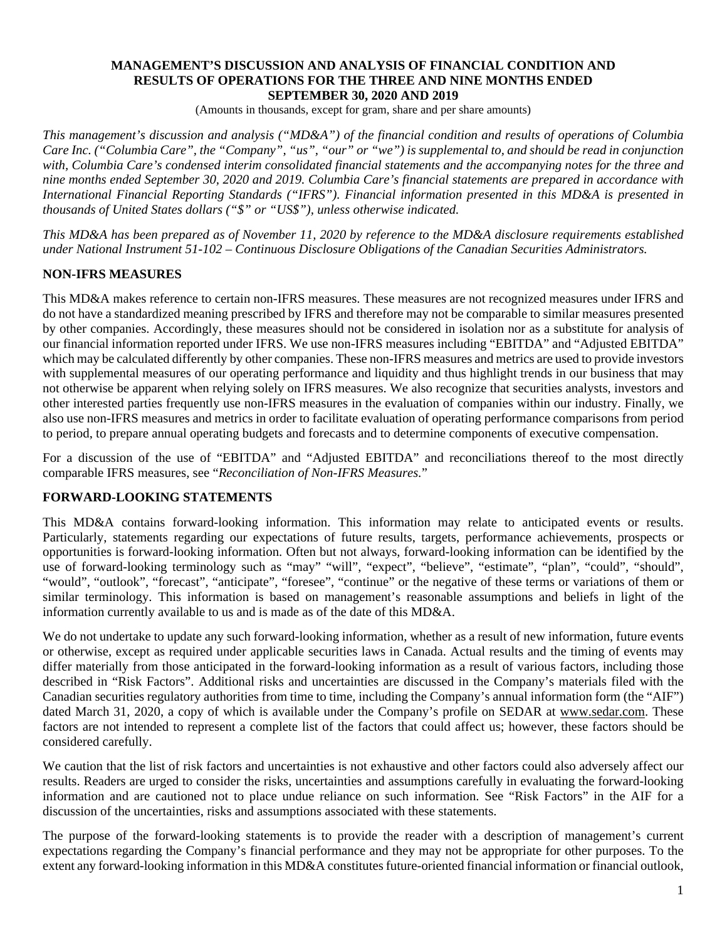#### **MANAGEMENT'S DISCUSSION AND ANALYSIS OF FINANCIAL CONDITION AND RESULTS OF OPERATIONS FOR THE THREE AND NINE MONTHS ENDED SEPTEMBER 30, 2020 AND 2019**

(Amounts in thousands, except for gram, share and per share amounts)

*This management's discussion and analysis ("MD&A") of the financial condition and results of operations of Columbia Care Inc. ("Columbia Care", the "Company", "us", "our" or "we") is supplemental to, and should be read in conjunction with, Columbia Care's condensed interim consolidated financial statements and the accompanying notes for the three and nine months ended September 30, 2020 and 2019. Columbia Care's financial statements are prepared in accordance with International Financial Reporting Standards ("IFRS"). Financial information presented in this MD&A is presented in thousands of United States dollars ("\$" or "US\$"), unless otherwise indicated.*

*This MD&A has been prepared as of November 11, 2020 by reference to the MD&A disclosure requirements established under National Instrument 51-102 – Continuous Disclosure Obligations of the Canadian Securities Administrators.*

# **NON-IFRS MEASURES**

This MD&A makes reference to certain non-IFRS measures. These measures are not recognized measures under IFRS and do not have a standardized meaning prescribed by IFRS and therefore may not be comparable to similar measures presented by other companies. Accordingly, these measures should not be considered in isolation nor as a substitute for analysis of our financial information reported under IFRS. We use non-IFRS measures including "EBITDA" and "Adjusted EBITDA" which may be calculated differently by other companies. These non-IFRS measures and metrics are used to provide investors with supplemental measures of our operating performance and liquidity and thus highlight trends in our business that may not otherwise be apparent when relying solely on IFRS measures. We also recognize that securities analysts, investors and other interested parties frequently use non-IFRS measures in the evaluation of companies within our industry. Finally, we also use non-IFRS measures and metrics in order to facilitate evaluation of operating performance comparisons from period to period, to prepare annual operating budgets and forecasts and to determine components of executive compensation.

For a discussion of the use of "EBITDA" and "Adjusted EBITDA" and reconciliations thereof to the most directly comparable IFRS measures, see "*Reconciliation of Non-IFRS Measures.*"

#### **FORWARD-LOOKING STATEMENTS**

This MD&A contains forward-looking information. This information may relate to anticipated events or results. Particularly, statements regarding our expectations of future results, targets, performance achievements, prospects or opportunities is forward-looking information. Often but not always, forward-looking information can be identified by the use of forward-looking terminology such as "may" "will", "expect", "believe", "estimate", "plan", "could", "should", "would", "outlook", "forecast", "anticipate", "foresee", "continue" or the negative of these terms or variations of them or similar terminology. This information is based on management's reasonable assumptions and beliefs in light of the information currently available to us and is made as of the date of this MD&A.

We do not undertake to update any such forward-looking information, whether as a result of new information, future events or otherwise, except as required under applicable securities laws in Canada. Actual results and the timing of events may differ materially from those anticipated in the forward-looking information as a result of various factors, including those described in "Risk Factors". Additional risks and uncertainties are discussed in the Company's materials filed with the Canadian securities regulatory authorities from time to time, including the Company's annual information form (the "AIF") dated March 31, 2020, a copy of which is available under the Company's profile on SEDAR at www.sedar.com. These factors are not intended to represent a complete list of the factors that could affect us; however, these factors should be considered carefully.

We caution that the list of risk factors and uncertainties is not exhaustive and other factors could also adversely affect our results. Readers are urged to consider the risks, uncertainties and assumptions carefully in evaluating the forward-looking information and are cautioned not to place undue reliance on such information. See "Risk Factors" in the AIF for a discussion of the uncertainties, risks and assumptions associated with these statements.

The purpose of the forward-looking statements is to provide the reader with a description of management's current expectations regarding the Company's financial performance and they may not be appropriate for other purposes. To the extent any forward-looking information in this MD&A constitutes future-oriented financial information or financial outlook,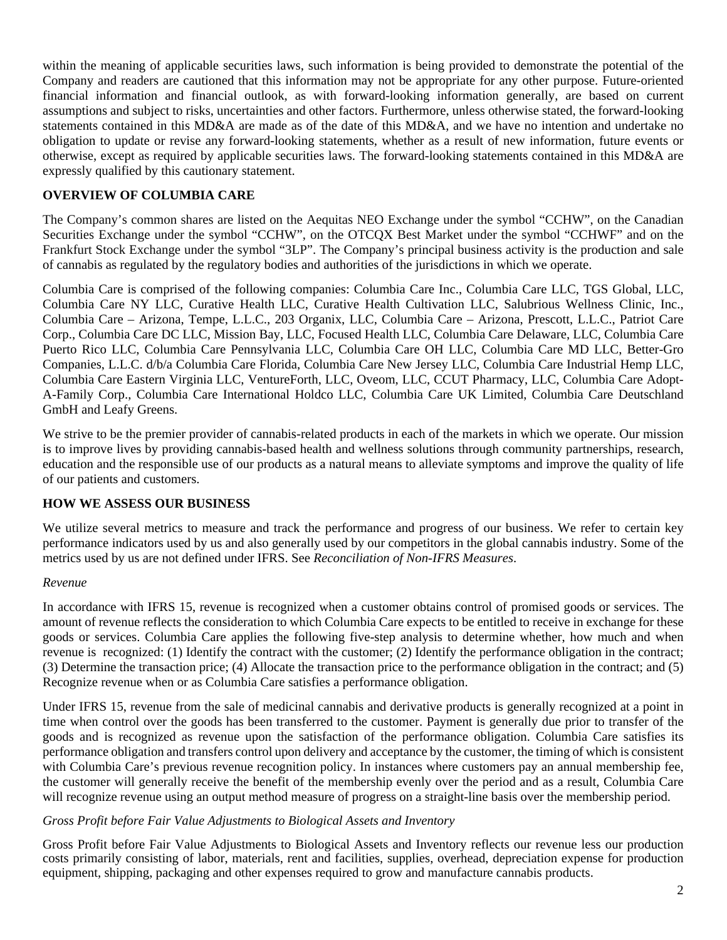within the meaning of applicable securities laws, such information is being provided to demonstrate the potential of the Company and readers are cautioned that this information may not be appropriate for any other purpose. Future-oriented financial information and financial outlook, as with forward-looking information generally, are based on current assumptions and subject to risks, uncertainties and other factors. Furthermore, unless otherwise stated, the forward-looking statements contained in this MD&A are made as of the date of this MD&A, and we have no intention and undertake no obligation to update or revise any forward-looking statements, whether as a result of new information, future events or otherwise, except as required by applicable securities laws. The forward-looking statements contained in this MD&A are expressly qualified by this cautionary statement.

# **OVERVIEW OF COLUMBIA CARE**

The Company's common shares are listed on the Aequitas NEO Exchange under the symbol "CCHW", on the Canadian Securities Exchange under the symbol "CCHW", on the OTCQX Best Market under the symbol "CCHWF" and on the Frankfurt Stock Exchange under the symbol "3LP". The Company's principal business activity is the production and sale of cannabis as regulated by the regulatory bodies and authorities of the jurisdictions in which we operate.

Columbia Care is comprised of the following companies: Columbia Care Inc., Columbia Care LLC, TGS Global, LLC, Columbia Care NY LLC, Curative Health LLC, Curative Health Cultivation LLC, Salubrious Wellness Clinic, Inc., Columbia Care – Arizona, Tempe, L.L.C., 203 Organix, LLC, Columbia Care – Arizona, Prescott, L.L.C., Patriot Care Corp., Columbia Care DC LLC, Mission Bay, LLC, Focused Health LLC, Columbia Care Delaware, LLC, Columbia Care Puerto Rico LLC, Columbia Care Pennsylvania LLC, Columbia Care OH LLC, Columbia Care MD LLC, Better-Gro Companies, L.L.C. d/b/a Columbia Care Florida, Columbia Care New Jersey LLC, Columbia Care Industrial Hemp LLC, Columbia Care Eastern Virginia LLC, VentureForth, LLC, Oveom, LLC, CCUT Pharmacy, LLC, Columbia Care Adopt-A-Family Corp., Columbia Care International Holdco LLC, Columbia Care UK Limited, Columbia Care Deutschland GmbH and Leafy Greens.

We strive to be the premier provider of cannabis-related products in each of the markets in which we operate. Our mission is to improve lives by providing cannabis-based health and wellness solutions through community partnerships, research, education and the responsible use of our products as a natural means to alleviate symptoms and improve the quality of life of our patients and customers.

# **HOW WE ASSESS OUR BUSINESS**

We utilize several metrics to measure and track the performance and progress of our business. We refer to certain key performance indicators used by us and also generally used by our competitors in the global cannabis industry. Some of the metrics used by us are not defined under IFRS. See *Reconciliation of Non-IFRS Measures*.

#### *Revenue*

In accordance with IFRS 15, revenue is recognized when a customer obtains control of promised goods or services. The amount of revenue reflects the consideration to which Columbia Care expects to be entitled to receive in exchange for these goods or services. Columbia Care applies the following five-step analysis to determine whether, how much and when revenue is recognized: (1) Identify the contract with the customer; (2) Identify the performance obligation in the contract; (3) Determine the transaction price; (4) Allocate the transaction price to the performance obligation in the contract; and (5) Recognize revenue when or as Columbia Care satisfies a performance obligation.

Under IFRS 15, revenue from the sale of medicinal cannabis and derivative products is generally recognized at a point in time when control over the goods has been transferred to the customer. Payment is generally due prior to transfer of the goods and is recognized as revenue upon the satisfaction of the performance obligation. Columbia Care satisfies its performance obligation and transfers control upon delivery and acceptance by the customer, the timing of which is consistent with Columbia Care's previous revenue recognition policy. In instances where customers pay an annual membership fee, the customer will generally receive the benefit of the membership evenly over the period and as a result, Columbia Care will recognize revenue using an output method measure of progress on a straight-line basis over the membership period.

#### *Gross Profit before Fair Value Adjustments to Biological Assets and Inventory*

Gross Profit before Fair Value Adjustments to Biological Assets and Inventory reflects our revenue less our production costs primarily consisting of labor, materials, rent and facilities, supplies, overhead, depreciation expense for production equipment, shipping, packaging and other expenses required to grow and manufacture cannabis products.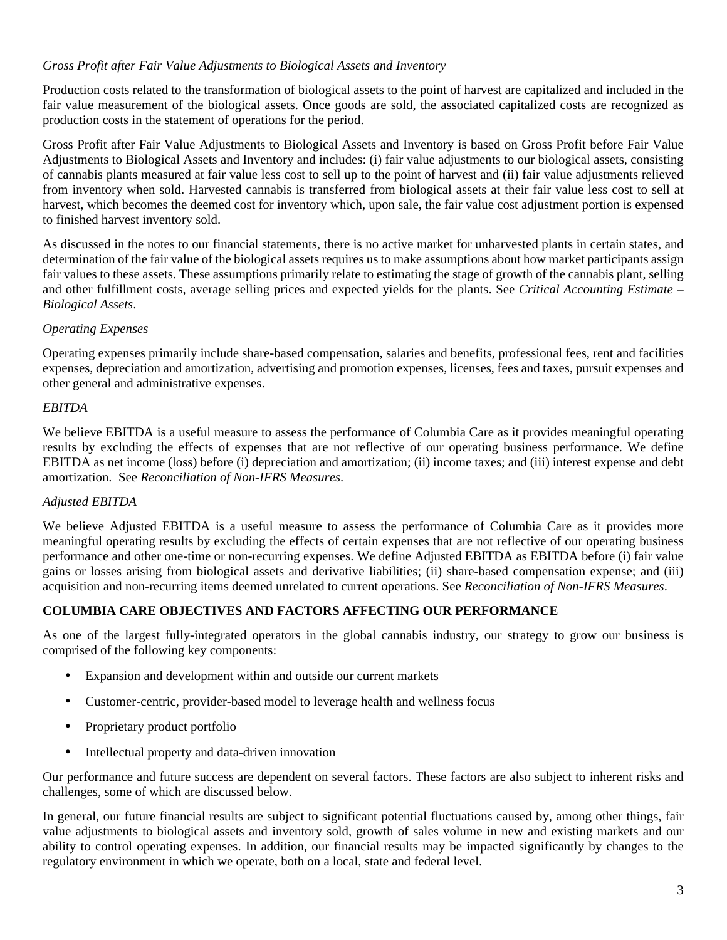# *Gross Profit after Fair Value Adjustments to Biological Assets and Inventory*

Production costs related to the transformation of biological assets to the point of harvest are capitalized and included in the fair value measurement of the biological assets. Once goods are sold, the associated capitalized costs are recognized as production costs in the statement of operations for the period.

Gross Profit after Fair Value Adjustments to Biological Assets and Inventory is based on Gross Profit before Fair Value Adjustments to Biological Assets and Inventory and includes: (i) fair value adjustments to our biological assets, consisting of cannabis plants measured at fair value less cost to sell up to the point of harvest and (ii) fair value adjustments relieved from inventory when sold. Harvested cannabis is transferred from biological assets at their fair value less cost to sell at harvest, which becomes the deemed cost for inventory which, upon sale, the fair value cost adjustment portion is expensed to finished harvest inventory sold.

As discussed in the notes to our financial statements, there is no active market for unharvested plants in certain states, and determination of the fair value of the biological assets requires us to make assumptions about how market participants assign fair values to these assets. These assumptions primarily relate to estimating the stage of growth of the cannabis plant, selling and other fulfillment costs, average selling prices and expected yields for the plants. See *Critical Accounting Estimate – Biological Assets*.

# *Operating Expenses*

Operating expenses primarily include share-based compensation, salaries and benefits, professional fees, rent and facilities expenses, depreciation and amortization, advertising and promotion expenses, licenses, fees and taxes, pursuit expenses and other general and administrative expenses.

# *EBITDA*

We believe EBITDA is a useful measure to assess the performance of Columbia Care as it provides meaningful operating results by excluding the effects of expenses that are not reflective of our operating business performance. We define EBITDA as net income (loss) before (i) depreciation and amortization; (ii) income taxes; and (iii) interest expense and debt amortization. See *Reconciliation of Non-IFRS Measures*.

# *Adjusted EBITDA*

We believe Adjusted EBITDA is a useful measure to assess the performance of Columbia Care as it provides more meaningful operating results by excluding the effects of certain expenses that are not reflective of our operating business performance and other one-time or non-recurring expenses. We define Adjusted EBITDA as EBITDA before (i) fair value gains or losses arising from biological assets and derivative liabilities; (ii) share-based compensation expense; and (iii) acquisition and non-recurring items deemed unrelated to current operations. See *Reconciliation of Non-IFRS Measures*.

# **COLUMBIA CARE OBJECTIVES AND FACTORS AFFECTING OUR PERFORMANCE**

As one of the largest fully-integrated operators in the global cannabis industry, our strategy to grow our business is comprised of the following key components:

- Expansion and development within and outside our current markets
- Customer-centric, provider-based model to leverage health and wellness focus
- Proprietary product portfolio
- Intellectual property and data-driven innovation

Our performance and future success are dependent on several factors. These factors are also subject to inherent risks and challenges, some of which are discussed below.

In general, our future financial results are subject to significant potential fluctuations caused by, among other things, fair value adjustments to biological assets and inventory sold, growth of sales volume in new and existing markets and our ability to control operating expenses. In addition, our financial results may be impacted significantly by changes to the regulatory environment in which we operate, both on a local, state and federal level.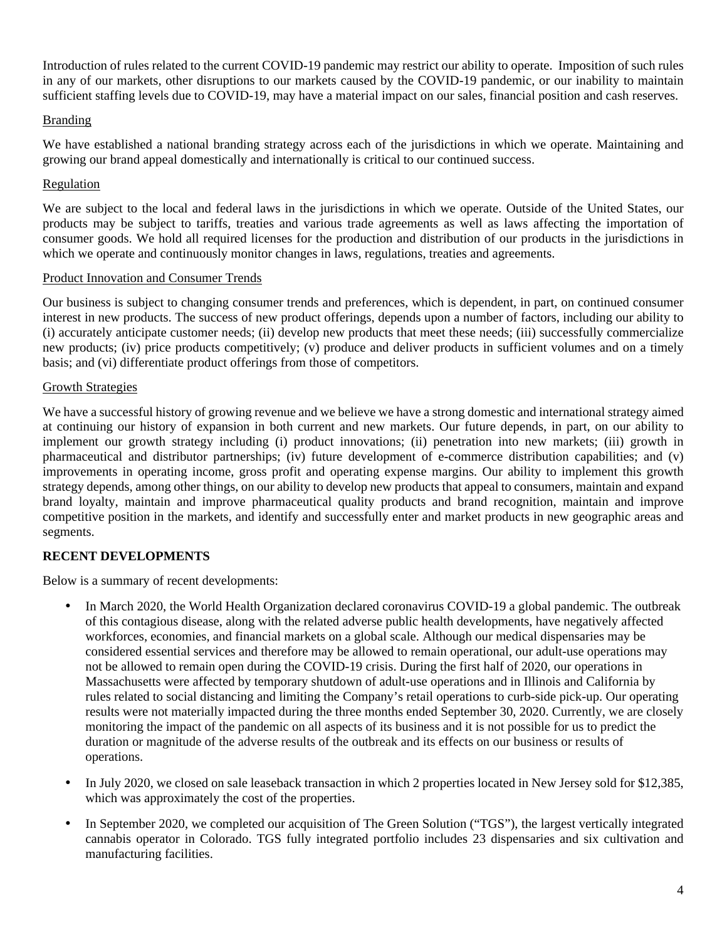Introduction of rules related to the current COVID-19 pandemic may restrict our ability to operate. Imposition of such rules in any of our markets, other disruptions to our markets caused by the COVID-19 pandemic, or our inability to maintain sufficient staffing levels due to COVID-19, may have a material impact on our sales, financial position and cash reserves.

# Branding

We have established a national branding strategy across each of the jurisdictions in which we operate. Maintaining and growing our brand appeal domestically and internationally is critical to our continued success.

# Regulation

We are subject to the local and federal laws in the jurisdictions in which we operate. Outside of the United States, our products may be subject to tariffs, treaties and various trade agreements as well as laws affecting the importation of consumer goods. We hold all required licenses for the production and distribution of our products in the jurisdictions in which we operate and continuously monitor changes in laws, regulations, treaties and agreements.

# Product Innovation and Consumer Trends

Our business is subject to changing consumer trends and preferences, which is dependent, in part, on continued consumer interest in new products. The success of new product offerings, depends upon a number of factors, including our ability to (i) accurately anticipate customer needs; (ii) develop new products that meet these needs; (iii) successfully commercialize new products; (iv) price products competitively; (v) produce and deliver products in sufficient volumes and on a timely basis; and (vi) differentiate product offerings from those of competitors.

# Growth Strategies

We have a successful history of growing revenue and we believe we have a strong domestic and international strategy aimed at continuing our history of expansion in both current and new markets. Our future depends, in part, on our ability to implement our growth strategy including (i) product innovations; (ii) penetration into new markets; (iii) growth in pharmaceutical and distributor partnerships; (iv) future development of e-commerce distribution capabilities; and (v) improvements in operating income, gross profit and operating expense margins. Our ability to implement this growth strategy depends, among other things, on our ability to develop new products that appeal to consumers, maintain and expand brand loyalty, maintain and improve pharmaceutical quality products and brand recognition, maintain and improve competitive position in the markets, and identify and successfully enter and market products in new geographic areas and segments.

# **RECENT DEVELOPMENTS**

Below is a summary of recent developments:

- In March 2020, the World Health Organization declared coronavirus COVID-19 a global pandemic. The outbreak of this contagious disease, along with the related adverse public health developments, have negatively affected workforces, economies, and financial markets on a global scale. Although our medical dispensaries may be considered essential services and therefore may be allowed to remain operational, our adult-use operations may not be allowed to remain open during the COVID-19 crisis. During the first half of 2020, our operations in Massachusetts were affected by temporary shutdown of adult-use operations and in Illinois and California by rules related to social distancing and limiting the Company's retail operations to curb-side pick-up. Our operating results were not materially impacted during the three months ended September 30, 2020. Currently, we are closely monitoring the impact of the pandemic on all aspects of its business and it is not possible for us to predict the duration or magnitude of the adverse results of the outbreak and its effects on our business or results of operations.
- In July 2020, we closed on sale leaseback transaction in which 2 properties located in New Jersey sold for \$12,385, which was approximately the cost of the properties.
- In September 2020, we completed our acquisition of The Green Solution ("TGS"), the largest vertically integrated cannabis operator in Colorado. TGS fully integrated portfolio includes 23 dispensaries and six cultivation and manufacturing facilities.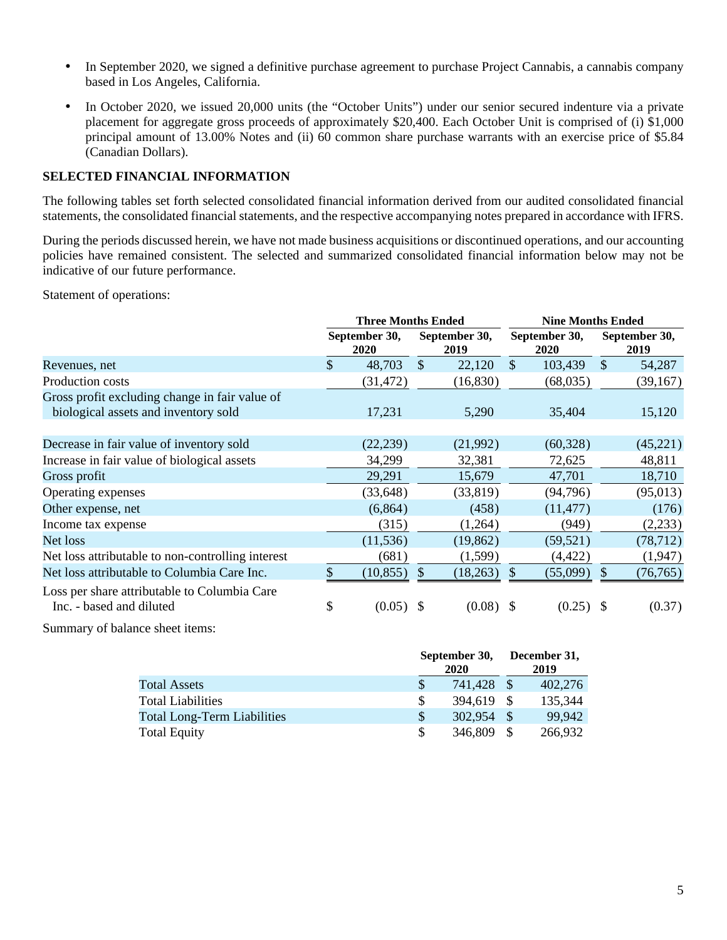- In September 2020, we signed a definitive purchase agreement to purchase Project Cannabis, a cannabis company based in Los Angeles, California.
- In October 2020, we issued 20,000 units (the "October Units") under our senior secured indenture via a private placement for aggregate gross proceeds of approximately \$20,400. Each October Unit is comprised of (i) \$1,000 principal amount of 13.00% Notes and (ii) 60 common share purchase warrants with an exercise price of \$5.84 (Canadian Dollars).

# **SELECTED FINANCIAL INFORMATION**

The following tables set forth selected consolidated financial information derived from our audited consolidated financial statements, the consolidated financial statements, and the respective accompanying notes prepared in accordance with IFRS.

During the periods discussed herein, we have not made business acquisitions or discontinued operations, and our accounting policies have remained consistent. The selected and summarized consolidated financial information below may not be indicative of our future performance.

Statement of operations:

|                                                                          | <b>Three Months Ended</b> |             |                       |             | <b>Nine Months Ended</b> |           |               |                       |  |
|--------------------------------------------------------------------------|---------------------------|-------------|-----------------------|-------------|--------------------------|-----------|---------------|-----------------------|--|
|                                                                          | September 30,<br>2020     |             | September 30,<br>2019 |             | September 30,<br>2020    |           |               | September 30,<br>2019 |  |
| Revenues, net                                                            | $\mathcal{S}$             | 48,703      | $\mathcal{S}$         | 22,120      | $\mathbb{S}$             | 103,439   | <sup>\$</sup> | 54,287                |  |
| Production costs                                                         |                           | (31, 472)   |                       | (16, 830)   |                          | (68,035)  |               | (39,167)              |  |
| Gross profit excluding change in fair value of                           |                           |             |                       |             |                          |           |               |                       |  |
| biological assets and inventory sold                                     |                           | 17,231      |                       | 5,290       |                          | 35,404    |               | 15,120                |  |
|                                                                          |                           |             |                       |             |                          |           |               |                       |  |
| Decrease in fair value of inventory sold                                 |                           | (22, 239)   |                       | (21,992)    |                          | (60, 328) |               | (45,221)              |  |
| Increase in fair value of biological assets                              |                           | 34,299      |                       | 32,381      |                          | 72,625    |               | 48,811                |  |
| Gross profit                                                             |                           | 29,291      |                       | 15,679      |                          | 47,701    |               | 18,710                |  |
| Operating expenses                                                       |                           | (33, 648)   |                       | (33, 819)   |                          | (94, 796) |               | (95,013)              |  |
| Other expense, net                                                       |                           | (6,864)     |                       | (458)       |                          | (11, 477) |               | (176)                 |  |
| Income tax expense                                                       |                           | (315)       |                       | (1,264)     |                          | (949)     |               | (2,233)               |  |
| Net loss                                                                 |                           | (11, 536)   |                       | (19, 862)   |                          | (59, 521) |               | (78, 712)             |  |
| Net loss attributable to non-controlling interest                        |                           | (681)       |                       | (1,599)     |                          | (4, 422)  |               | (1,947)               |  |
| Net loss attributable to Columbia Care Inc.                              |                           | (10, 855)   | $\mathcal{S}$         | (18, 263)   |                          | (55,099)  | \$.           | (76, 765)             |  |
| Loss per share attributable to Columbia Care<br>Inc. - based and diluted | \$                        | $(0.05)$ \$ |                       | $(0.08)$ \$ |                          | (0.25)    | -S            | (0.37)                |  |

Summary of balance sheet items:

|                                    | September 30, | December 31,<br>2019 |      |         |  |
|------------------------------------|---------------|----------------------|------|---------|--|
| <b>Total Assets</b>                |               | 741,428              | - \$ | 402,276 |  |
| <b>Total Liabilities</b>           |               | 394,619              | - \$ | 135,344 |  |
| <b>Total Long-Term Liabilities</b> | \$.           | 302,954              |      | 99,942  |  |
| <b>Total Equity</b>                |               | 346,809              |      | 266,932 |  |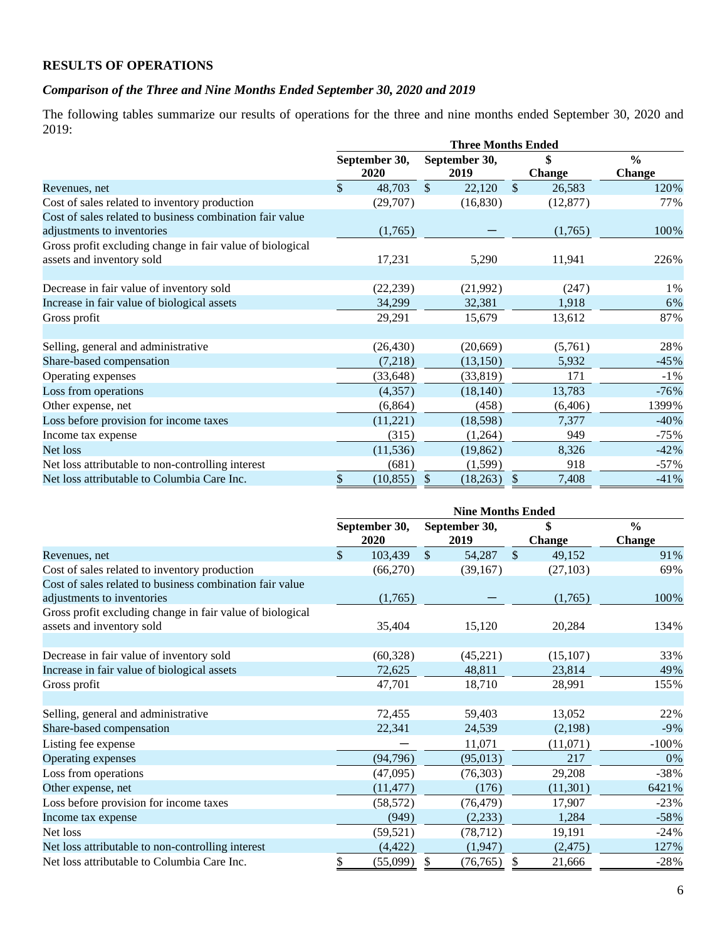# **RESULTS OF OPERATIONS**

# *Comparison of the Three and Nine Months Ended September 30, 2020 and 2019*

The following tables summarize our results of operations for the three and nine months ended September 30, 2020 and 2019:

|                                                           | <b>Three Months Ended</b> |             |               |           |               |               |               |  |  |
|-----------------------------------------------------------|---------------------------|-------------|---------------|-----------|---------------|---------------|---------------|--|--|
|                                                           | September 30,             |             | September 30, |           | \$            |               | $\frac{6}{9}$ |  |  |
|                                                           |                           | <b>2020</b> |               | 2019      |               | <b>Change</b> | <b>Change</b> |  |  |
| Revenues, net                                             | $\mathcal{S}$             | 48,703      | $\mathbb{S}$  | 22,120    | $\mathbb{S}$  | 26,583        | 120%          |  |  |
| Cost of sales related to inventory production             |                           | (29,707)    |               | (16, 830) |               | (12, 877)     | 77%           |  |  |
| Cost of sales related to business combination fair value  |                           |             |               |           |               |               |               |  |  |
| adjustments to inventories                                |                           | (1,765)     |               |           |               | (1,765)       | 100%          |  |  |
| Gross profit excluding change in fair value of biological |                           |             |               |           |               |               |               |  |  |
| assets and inventory sold                                 |                           | 17,231      |               | 5,290     |               | 11,941        | 226%          |  |  |
| Decrease in fair value of inventory sold                  |                           | (22, 239)   |               | (21,992)  |               | (247)         | 1%            |  |  |
| Increase in fair value of biological assets               |                           | 34,299      |               | 32,381    |               | 1,918         | 6%            |  |  |
| Gross profit                                              |                           | 29,291      |               | 15,679    |               | 13,612        | 87%           |  |  |
|                                                           |                           |             |               |           |               |               |               |  |  |
| Selling, general and administrative                       |                           | (26, 430)   |               | (20, 669) |               | (5,761)       | 28%           |  |  |
| Share-based compensation                                  |                           | (7,218)     |               | (13, 150) |               | 5,932         | $-45%$        |  |  |
| Operating expenses                                        |                           | (33, 648)   |               | (33, 819) |               | 171           | $-1\%$        |  |  |
| Loss from operations                                      |                           | (4,357)     |               | (18, 140) |               | 13,783        | $-76%$        |  |  |
| Other expense, net                                        |                           | (6, 864)    |               | (458)     |               | (6,406)       | 1399%         |  |  |
| Loss before provision for income taxes                    |                           | (11,221)    |               | (18,598)  |               | 7,377         | $-40%$        |  |  |
| Income tax expense                                        |                           | (315)       |               | (1,264)   |               | 949           | $-75%$        |  |  |
| Net loss                                                  |                           | (11, 536)   |               | (19, 862) |               | 8,326         | $-42%$        |  |  |
| Net loss attributable to non-controlling interest         |                           | (681)       |               | (1, 599)  |               | 918           | $-57\%$       |  |  |
| Net loss attributable to Columbia Care Inc.               | \$                        | (10, 855)   | $\mathbb{S}$  | (18,263)  | $\mathcal{S}$ | 7,408         | $-41%$        |  |  |

|                                                           | <b>Nine Months Ended</b> |           |               |               |              |               |               |  |  |
|-----------------------------------------------------------|--------------------------|-----------|---------------|---------------|--------------|---------------|---------------|--|--|
|                                                           | September 30,            |           |               | September 30, | \$           |               | $\frac{6}{9}$ |  |  |
|                                                           |                          | 2020      |               | 2019          |              | <b>Change</b> | <b>Change</b> |  |  |
| Revenues, net                                             | \$                       | 103,439   | $\mathcal{S}$ | 54,287        | $\mathbb{S}$ | 49,152        | 91%           |  |  |
| Cost of sales related to inventory production             |                          | (66,270)  |               | (39,167)      |              | (27, 103)     | 69%           |  |  |
| Cost of sales related to business combination fair value  |                          |           |               |               |              |               |               |  |  |
| adjustments to inventories                                |                          | (1,765)   |               |               |              | (1,765)       | 100%          |  |  |
| Gross profit excluding change in fair value of biological |                          |           |               |               |              |               |               |  |  |
| assets and inventory sold                                 |                          | 35,404    |               | 15,120        |              | 20,284        | 134%          |  |  |
|                                                           |                          |           |               |               |              |               |               |  |  |
| Decrease in fair value of inventory sold                  |                          | (60, 328) |               | (45, 221)     |              | (15, 107)     | 33%           |  |  |
| Increase in fair value of biological assets               |                          | 72,625    |               | 48,811        |              | 23,814        | 49%           |  |  |
| Gross profit                                              |                          | 47,701    |               | 18,710        |              | 28,991        | 155%          |  |  |
|                                                           |                          |           |               |               |              |               |               |  |  |
| Selling, general and administrative                       |                          | 72,455    |               | 59,403        |              | 13,052        | 22%           |  |  |
| Share-based compensation                                  |                          | 22,341    |               | 24,539        |              | (2,198)       | $-9\%$        |  |  |
| Listing fee expense                                       |                          |           |               | 11,071        |              | (11,071)      | $-100\%$      |  |  |
| Operating expenses                                        |                          | (94, 796) |               | (95, 013)     |              | 217           | 0%            |  |  |
| Loss from operations                                      |                          | (47,095)  |               | (76,303)      |              | 29,208        | $-38%$        |  |  |
| Other expense, net                                        |                          | (11, 477) |               | (176)         |              | (11,301)      | 6421%         |  |  |
| Loss before provision for income taxes                    |                          | (58, 572) |               | (76, 479)     |              | 17,907        | $-23%$        |  |  |
| Income tax expense                                        |                          | (949)     |               | (2,233)       |              | 1,284         | $-58%$        |  |  |
| Net loss                                                  |                          | (59, 521) |               | (78, 712)     |              | 19,191        | $-24%$        |  |  |
| Net loss attributable to non-controlling interest         |                          | (4, 422)  |               | (1,947)       |              | (2, 475)      | 127%          |  |  |
| Net loss attributable to Columbia Care Inc.               | \$                       | (55,099)  | \$            | (76, 765)     | \$           | 21,666        | $-28%$        |  |  |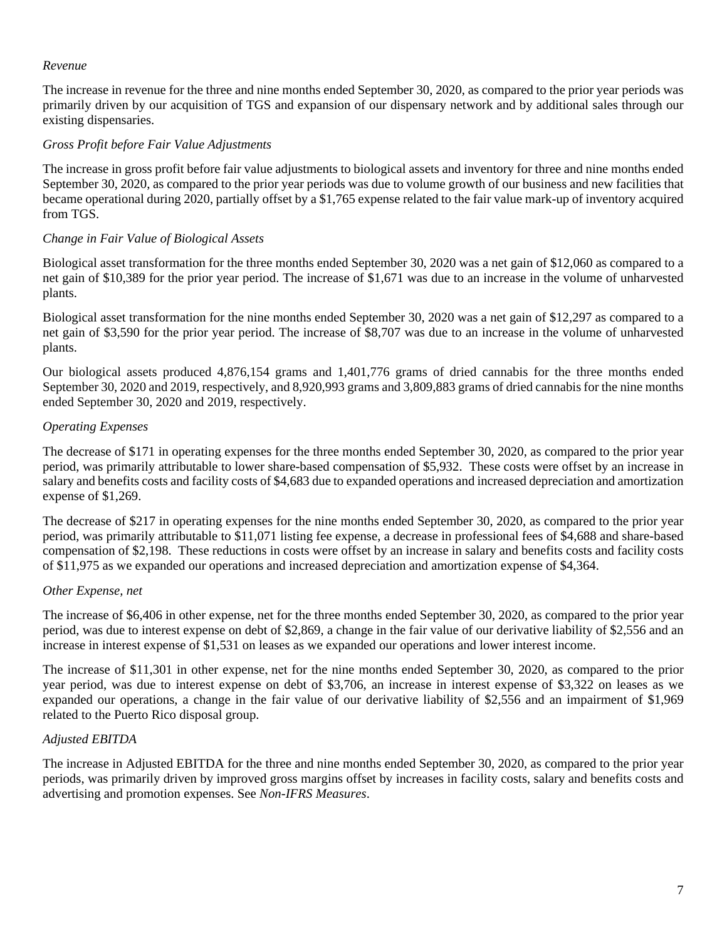#### *Revenue*

The increase in revenue for the three and nine months ended September 30, 2020, as compared to the prior year periods was primarily driven by our acquisition of TGS and expansion of our dispensary network and by additional sales through our existing dispensaries.

#### *Gross Profit before Fair Value Adjustments*

The increase in gross profit before fair value adjustments to biological assets and inventory for three and nine months ended September 30, 2020, as compared to the prior year periods was due to volume growth of our business and new facilities that became operational during 2020, partially offset by a \$1,765 expense related to the fair value mark-up of inventory acquired from TGS.

### *Change in Fair Value of Biological Assets*

Biological asset transformation for the three months ended September 30, 2020 was a net gain of \$12,060 as compared to a net gain of \$10,389 for the prior year period. The increase of \$1,671 was due to an increase in the volume of unharvested plants.

Biological asset transformation for the nine months ended September 30, 2020 was a net gain of \$12,297 as compared to a net gain of \$3,590 for the prior year period. The increase of \$8,707 was due to an increase in the volume of unharvested plants.

Our biological assets produced 4,876,154 grams and 1,401,776 grams of dried cannabis for the three months ended September 30, 2020 and 2019, respectively, and 8,920,993 grams and 3,809,883 grams of dried cannabis for the nine months ended September 30, 2020 and 2019, respectively.

### *Operating Expenses*

The decrease of \$171 in operating expenses for the three months ended September 30, 2020, as compared to the prior year period, was primarily attributable to lower share-based compensation of \$5,932. These costs were offset by an increase in salary and benefits costs and facility costs of \$4,683 due to expanded operations and increased depreciation and amortization expense of \$1,269.

The decrease of \$217 in operating expenses for the nine months ended September 30, 2020, as compared to the prior year period, was primarily attributable to \$11,071 listing fee expense, a decrease in professional fees of \$4,688 and share-based compensation of \$2,198. These reductions in costs were offset by an increase in salary and benefits costs and facility costs of \$11,975 as we expanded our operations and increased depreciation and amortization expense of \$4,364.

#### *Other Expense, net*

The increase of \$6,406 in other expense, net for the three months ended September 30, 2020, as compared to the prior year period, was due to interest expense on debt of \$2,869, a change in the fair value of our derivative liability of \$2,556 and an increase in interest expense of \$1,531 on leases as we expanded our operations and lower interest income.

The increase of \$11,301 in other expense, net for the nine months ended September 30, 2020, as compared to the prior year period, was due to interest expense on debt of \$3,706, an increase in interest expense of \$3,322 on leases as we expanded our operations, a change in the fair value of our derivative liability of \$2,556 and an impairment of \$1,969 related to the Puerto Rico disposal group.

# *Adjusted EBITDA*

The increase in Adjusted EBITDA for the three and nine months ended September 30, 2020, as compared to the prior year periods, was primarily driven by improved gross margins offset by increases in facility costs, salary and benefits costs and advertising and promotion expenses. See *Non-IFRS Measures*.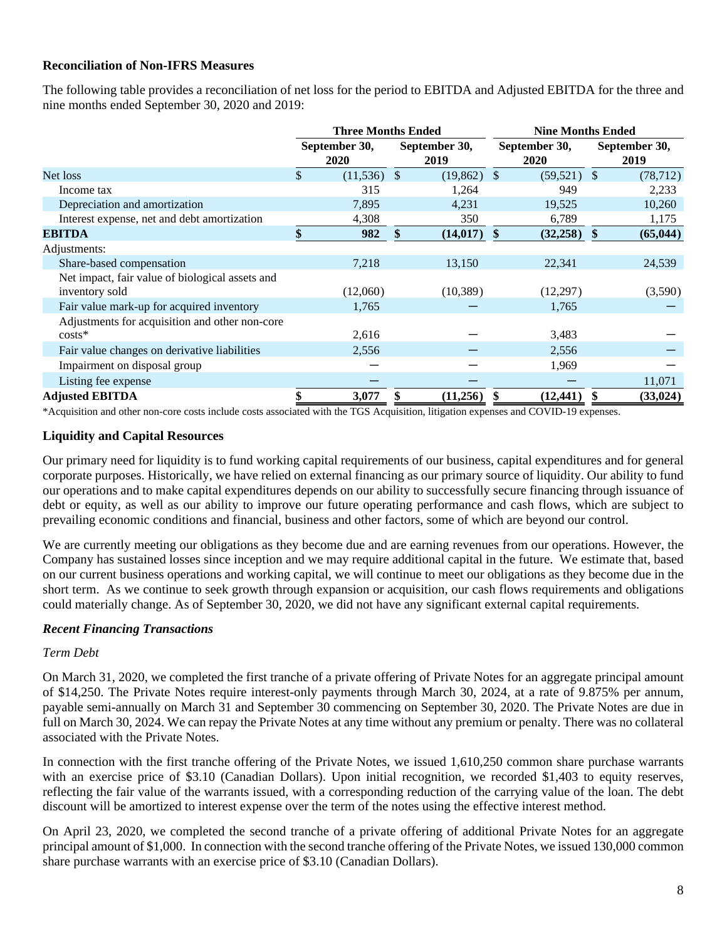### **Reconciliation of Non-IFRS Measures**

The following table provides a reconciliation of net loss for the period to EBITDA and Adjusted EBITDA for the three and nine months ended September 30, 2020 and 2019:

|                                                 | <b>Three Months Ended</b> |               |                       | <b>Nine Months Ended</b> |               |               |                       |  |  |
|-------------------------------------------------|---------------------------|---------------|-----------------------|--------------------------|---------------|---------------|-----------------------|--|--|
|                                                 | September 30,<br>2020     |               | September 30,<br>2019 | September 30,<br>2020    |               |               | September 30,<br>2019 |  |  |
| Net loss                                        | \$<br>(11,536)            | <sup>\$</sup> | (19, 862)             | $\mathcal{S}$            | $(59,521)$ \$ |               | (78, 712)             |  |  |
| Income tax                                      | 315                       |               | 1,264                 |                          | 949           |               | 2,233                 |  |  |
| Depreciation and amortization                   | 7,895                     |               | 4,231                 |                          | 19,525        |               | 10,260                |  |  |
| Interest expense, net and debt amortization     | 4,308                     |               | 350                   |                          | 6,789         |               | 1,175                 |  |  |
| <b>EBITDA</b>                                   | 982                       | $\mathbf{\$}$ | (14, 017)             | $\mathbf{\$}$            | (32, 258)     | $\mathbf{\$}$ | (65, 044)             |  |  |
| Adjustments:                                    |                           |               |                       |                          |               |               |                       |  |  |
| Share-based compensation                        | 7,218                     |               | 13,150                |                          | 22,341        |               | 24,539                |  |  |
| Net impact, fair value of biological assets and |                           |               |                       |                          |               |               |                       |  |  |
| inventory sold                                  | (12,060)                  |               | (10, 389)             |                          | (12,297)      |               | (3,590)               |  |  |
| Fair value mark-up for acquired inventory       | 1,765                     |               |                       |                          | 1,765         |               |                       |  |  |
| Adjustments for acquisition and other non-core  |                           |               |                       |                          |               |               |                       |  |  |
| $costs*$                                        | 2,616                     |               |                       |                          | 3,483         |               |                       |  |  |
| Fair value changes on derivative liabilities    | 2,556                     |               |                       |                          | 2,556         |               |                       |  |  |
| Impairment on disposal group                    |                           |               |                       |                          | 1,969         |               |                       |  |  |
| Listing fee expense                             |                           |               |                       |                          |               |               | 11,071                |  |  |
| <b>Adjusted EBITDA</b>                          | 3,077                     |               | (11,256)              |                          | (12, 441)     |               | (33, 024)             |  |  |
|                                                 |                           |               |                       |                          |               |               |                       |  |  |

\*Acquisition and other non-core costs include costs associated with the TGS Acquisition, litigation expenses and COVID-19 expenses.

#### **Liquidity and Capital Resources**

Our primary need for liquidity is to fund working capital requirements of our business, capital expenditures and for general corporate purposes. Historically, we have relied on external financing as our primary source of liquidity. Our ability to fund our operations and to make capital expenditures depends on our ability to successfully secure financing through issuance of debt or equity, as well as our ability to improve our future operating performance and cash flows, which are subject to prevailing economic conditions and financial, business and other factors, some of which are beyond our control.

We are currently meeting our obligations as they become due and are earning revenues from our operations. However, the Company has sustained losses since inception and we may require additional capital in the future. We estimate that, based on our current business operations and working capital, we will continue to meet our obligations as they become due in the short term. As we continue to seek growth through expansion or acquisition, our cash flows requirements and obligations could materially change. As of September 30, 2020, we did not have any significant external capital requirements.

#### *Recent Financing Transactions*

#### *Term Debt*

On March 31, 2020, we completed the first tranche of a private offering of Private Notes for an aggregate principal amount of \$14,250. The Private Notes require interest-only payments through March 30, 2024, at a rate of 9.875% per annum, payable semi-annually on March 31 and September 30 commencing on September 30, 2020. The Private Notes are due in full on March 30, 2024. We can repay the Private Notes at any time without any premium or penalty. There was no collateral associated with the Private Notes.

In connection with the first tranche offering of the Private Notes, we issued 1,610,250 common share purchase warrants with an exercise price of \$3.10 (Canadian Dollars). Upon initial recognition, we recorded \$1,403 to equity reserves, reflecting the fair value of the warrants issued, with a corresponding reduction of the carrying value of the loan. The debt discount will be amortized to interest expense over the term of the notes using the effective interest method.

On April 23, 2020, we completed the second tranche of a private offering of additional Private Notes for an aggregate principal amount of \$1,000. In connection with the second tranche offering of the Private Notes, we issued 130,000 common share purchase warrants with an exercise price of \$3.10 (Canadian Dollars).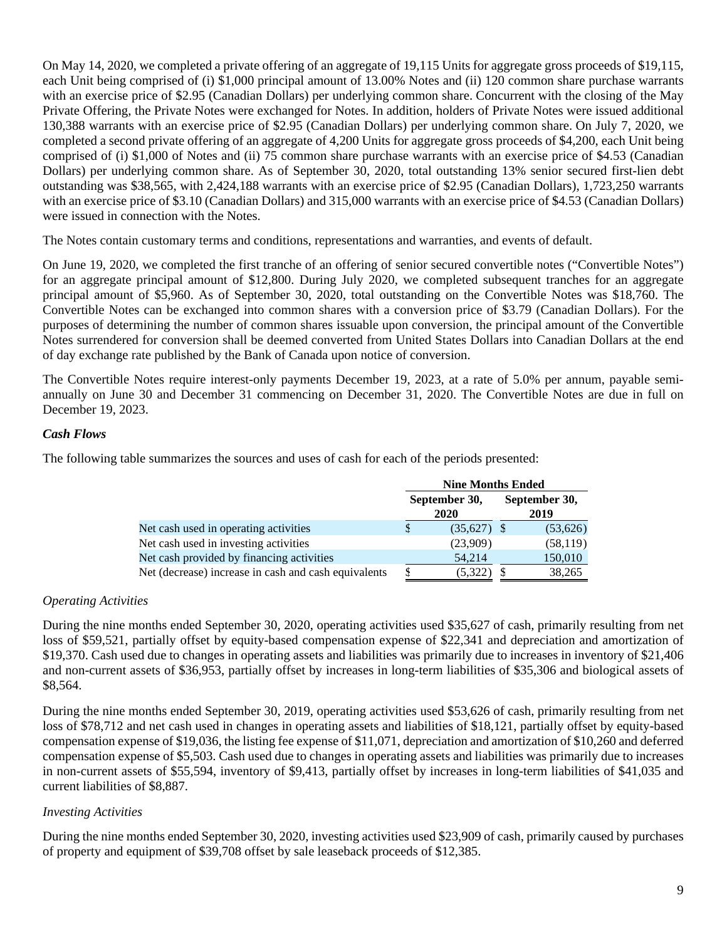On May 14, 2020, we completed a private offering of an aggregate of 19,115 Units for aggregate gross proceeds of \$19,115, each Unit being comprised of (i) \$1,000 principal amount of 13.00% Notes and (ii) 120 common share purchase warrants with an exercise price of \$2.95 (Canadian Dollars) per underlying common share. Concurrent with the closing of the May Private Offering, the Private Notes were exchanged for Notes. In addition, holders of Private Notes were issued additional 130,388 warrants with an exercise price of \$2.95 (Canadian Dollars) per underlying common share. On July 7, 2020, we completed a second private offering of an aggregate of 4,200 Units for aggregate gross proceeds of \$4,200, each Unit being comprised of (i) \$1,000 of Notes and (ii) 75 common share purchase warrants with an exercise price of \$4.53 (Canadian Dollars) per underlying common share. As of September 30, 2020, total outstanding 13% senior secured first-lien debt outstanding was \$38,565, with 2,424,188 warrants with an exercise price of \$2.95 (Canadian Dollars), 1,723,250 warrants with an exercise price of \$3.10 (Canadian Dollars) and 315,000 warrants with an exercise price of \$4.53 (Canadian Dollars) were issued in connection with the Notes.

The Notes contain customary terms and conditions, representations and warranties, and events of default.

On June 19, 2020, we completed the first tranche of an offering of senior secured convertible notes ("Convertible Notes") for an aggregate principal amount of \$12,800. During July 2020, we completed subsequent tranches for an aggregate principal amount of \$5,960. As of September 30, 2020, total outstanding on the Convertible Notes was \$18,760. The Convertible Notes can be exchanged into common shares with a conversion price of \$3.79 (Canadian Dollars). For the purposes of determining the number of common shares issuable upon conversion, the principal amount of the Convertible Notes surrendered for conversion shall be deemed converted from United States Dollars into Canadian Dollars at the end of day exchange rate published by the Bank of Canada upon notice of conversion.

The Convertible Notes require interest-only payments December 19, 2023, at a rate of 5.0% per annum, payable semiannually on June 30 and December 31 commencing on December 31, 2020. The Convertible Notes are due in full on December 19, 2023.

### *Cash Flows*

The following table summarizes the sources and uses of cash for each of the periods presented:

|                                                      | <b>Nine Months Ended</b> |                       |                       |           |  |  |  |  |
|------------------------------------------------------|--------------------------|-----------------------|-----------------------|-----------|--|--|--|--|
|                                                      |                          | September 30,<br>2020 | September 30,<br>2019 |           |  |  |  |  |
| Net cash used in operating activities                |                          | $(35,627)$ \$         |                       | (53, 626) |  |  |  |  |
| Net cash used in investing activities                |                          | (23,909)              |                       | (58, 119) |  |  |  |  |
| Net cash provided by financing activities            |                          | 54,214                |                       | 150,010   |  |  |  |  |
| Net (decrease) increase in cash and cash equivalents |                          | (5,322)               |                       | 38,265    |  |  |  |  |

#### *Operating Activities*

During the nine months ended September 30, 2020, operating activities used \$35,627 of cash, primarily resulting from net loss of \$59,521, partially offset by equity-based compensation expense of \$22,341 and depreciation and amortization of \$19,370. Cash used due to changes in operating assets and liabilities was primarily due to increases in inventory of \$21,406 and non-current assets of \$36,953, partially offset by increases in long-term liabilities of \$35,306 and biological assets of \$8,564.

During the nine months ended September 30, 2019, operating activities used \$53,626 of cash, primarily resulting from net loss of \$78,712 and net cash used in changes in operating assets and liabilities of \$18,121, partially offset by equity-based compensation expense of \$19,036, the listing fee expense of \$11,071, depreciation and amortization of \$10,260 and deferred compensation expense of \$5,503. Cash used due to changes in operating assets and liabilities was primarily due to increases in non-current assets of \$55,594, inventory of \$9,413, partially offset by increases in long-term liabilities of \$41,035 and current liabilities of \$8,887.

# *Investing Activities*

During the nine months ended September 30, 2020, investing activities used \$23,909 of cash, primarily caused by purchases of property and equipment of \$39,708 offset by sale leaseback proceeds of \$12,385.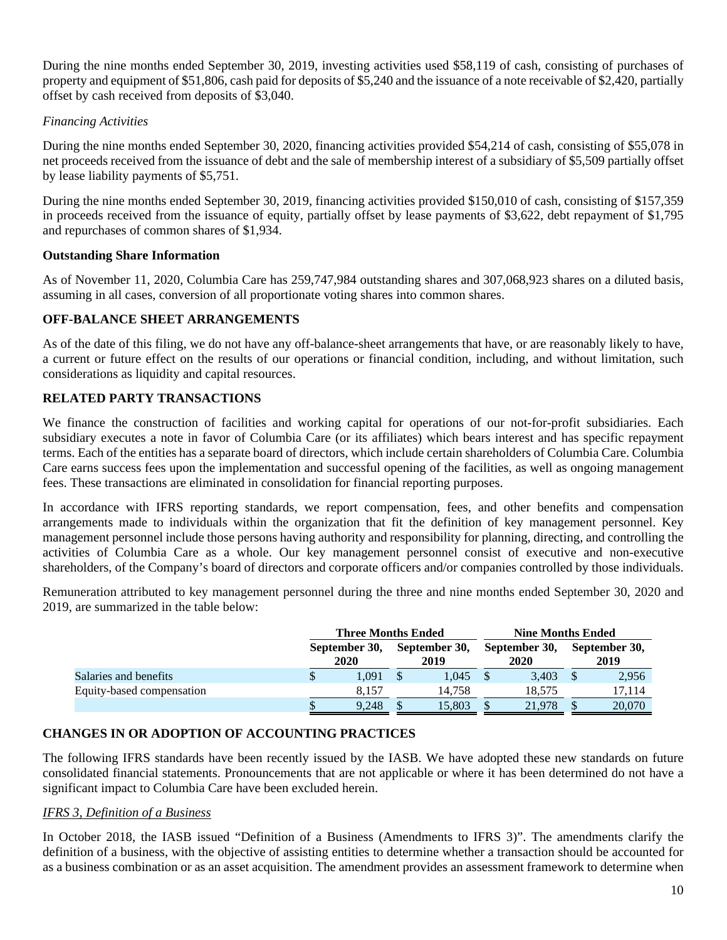During the nine months ended September 30, 2019, investing activities used \$58,119 of cash, consisting of purchases of property and equipment of \$51,806, cash paid for deposits of \$5,240 and the issuance of a note receivable of \$2,420, partially offset by cash received from deposits of \$3,040.

### *Financing Activities*

During the nine months ended September 30, 2020, financing activities provided \$54,214 of cash, consisting of \$55,078 in net proceeds received from the issuance of debt and the sale of membership interest of a subsidiary of \$5,509 partially offset by lease liability payments of \$5,751.

During the nine months ended September 30, 2019, financing activities provided \$150,010 of cash, consisting of \$157,359 in proceeds received from the issuance of equity, partially offset by lease payments of \$3,622, debt repayment of \$1,795 and repurchases of common shares of \$1,934.

### **Outstanding Share Information**

As of November 11, 2020, Columbia Care has 259,747,984 outstanding shares and 307,068,923 shares on a diluted basis, assuming in all cases, conversion of all proportionate voting shares into common shares.

### **OFF-BALANCE SHEET ARRANGEMENTS**

As of the date of this filing, we do not have any off-balance-sheet arrangements that have, or are reasonably likely to have, a current or future effect on the results of our operations or financial condition, including, and without limitation, such considerations as liquidity and capital resources.

### **RELATED PARTY TRANSACTIONS**

We finance the construction of facilities and working capital for operations of our not-for-profit subsidiaries. Each subsidiary executes a note in favor of Columbia Care (or its affiliates) which bears interest and has specific repayment terms. Each of the entities has a separate board of directors, which include certain shareholders of Columbia Care. Columbia Care earns success fees upon the implementation and successful opening of the facilities, as well as ongoing management fees. These transactions are eliminated in consolidation for financial reporting purposes.

In accordance with IFRS reporting standards, we report compensation, fees, and other benefits and compensation arrangements made to individuals within the organization that fit the definition of key management personnel. Key management personnel include those persons having authority and responsibility for planning, directing, and controlling the activities of Columbia Care as a whole. Our key management personnel consist of executive and non-executive shareholders, of the Company's board of directors and corporate officers and/or companies controlled by those individuals.

Remuneration attributed to key management personnel during the three and nine months ended September 30, 2020 and 2019, are summarized in the table below:

|                           | <b>Three Months Ended</b> |  | <b>Nine Months Ended</b> |                       |        |                       |        |  |
|---------------------------|---------------------------|--|--------------------------|-----------------------|--------|-----------------------|--------|--|
|                           | September 30,<br>2020     |  | September 30,<br>2019    | September 30,<br>2020 |        | September 30,<br>2019 |        |  |
| Salaries and benefits     | 1.091                     |  | 1.045                    |                       | 3.403  |                       | 2,956  |  |
| Equity-based compensation | 8.157                     |  | 14.758                   |                       | 18.575 |                       | 17,114 |  |
|                           | 9.248                     |  | 15.803                   |                       | 21,978 |                       | 20,070 |  |

# **CHANGES IN OR ADOPTION OF ACCOUNTING PRACTICES**

The following IFRS standards have been recently issued by the IASB. We have adopted these new standards on future consolidated financial statements. Pronouncements that are not applicable or where it has been determined do not have a significant impact to Columbia Care have been excluded herein.

#### *IFRS 3, Definition of a Business*

In October 2018, the IASB issued "Definition of a Business (Amendments to IFRS 3)". The amendments clarify the definition of a business, with the objective of assisting entities to determine whether a transaction should be accounted for as a business combination or as an asset acquisition. The amendment provides an assessment framework to determine when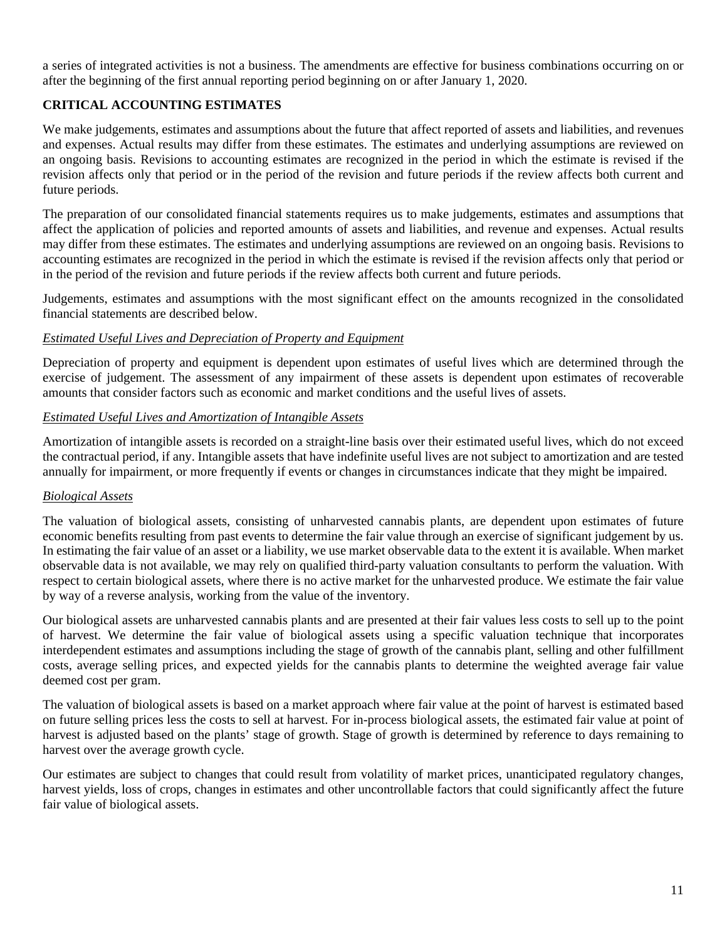a series of integrated activities is not a business. The amendments are effective for business combinations occurring on or after the beginning of the first annual reporting period beginning on or after January 1, 2020.

# **CRITICAL ACCOUNTING ESTIMATES**

We make judgements, estimates and assumptions about the future that affect reported of assets and liabilities, and revenues and expenses. Actual results may differ from these estimates. The estimates and underlying assumptions are reviewed on an ongoing basis. Revisions to accounting estimates are recognized in the period in which the estimate is revised if the revision affects only that period or in the period of the revision and future periods if the review affects both current and future periods.

The preparation of our consolidated financial statements requires us to make judgements, estimates and assumptions that affect the application of policies and reported amounts of assets and liabilities, and revenue and expenses. Actual results may differ from these estimates. The estimates and underlying assumptions are reviewed on an ongoing basis. Revisions to accounting estimates are recognized in the period in which the estimate is revised if the revision affects only that period or in the period of the revision and future periods if the review affects both current and future periods.

Judgements, estimates and assumptions with the most significant effect on the amounts recognized in the consolidated financial statements are described below.

#### *Estimated Useful Lives and Depreciation of Property and Equipment*

Depreciation of property and equipment is dependent upon estimates of useful lives which are determined through the exercise of judgement. The assessment of any impairment of these assets is dependent upon estimates of recoverable amounts that consider factors such as economic and market conditions and the useful lives of assets.

### *Estimated Useful Lives and Amortization of Intangible Assets*

Amortization of intangible assets is recorded on a straight-line basis over their estimated useful lives, which do not exceed the contractual period, if any. Intangible assets that have indefinite useful lives are not subject to amortization and are tested annually for impairment, or more frequently if events or changes in circumstances indicate that they might be impaired.

# *Biological Assets*

The valuation of biological assets, consisting of unharvested cannabis plants, are dependent upon estimates of future economic benefits resulting from past events to determine the fair value through an exercise of significant judgement by us. In estimating the fair value of an asset or a liability, we use market observable data to the extent it is available. When market observable data is not available, we may rely on qualified third-party valuation consultants to perform the valuation. With respect to certain biological assets, where there is no active market for the unharvested produce. We estimate the fair value by way of a reverse analysis, working from the value of the inventory.

Our biological assets are unharvested cannabis plants and are presented at their fair values less costs to sell up to the point of harvest. We determine the fair value of biological assets using a specific valuation technique that incorporates interdependent estimates and assumptions including the stage of growth of the cannabis plant, selling and other fulfillment costs, average selling prices, and expected yields for the cannabis plants to determine the weighted average fair value deemed cost per gram.

The valuation of biological assets is based on a market approach where fair value at the point of harvest is estimated based on future selling prices less the costs to sell at harvest. For in-process biological assets, the estimated fair value at point of harvest is adjusted based on the plants' stage of growth. Stage of growth is determined by reference to days remaining to harvest over the average growth cycle.

Our estimates are subject to changes that could result from volatility of market prices, unanticipated regulatory changes, harvest yields, loss of crops, changes in estimates and other uncontrollable factors that could significantly affect the future fair value of biological assets.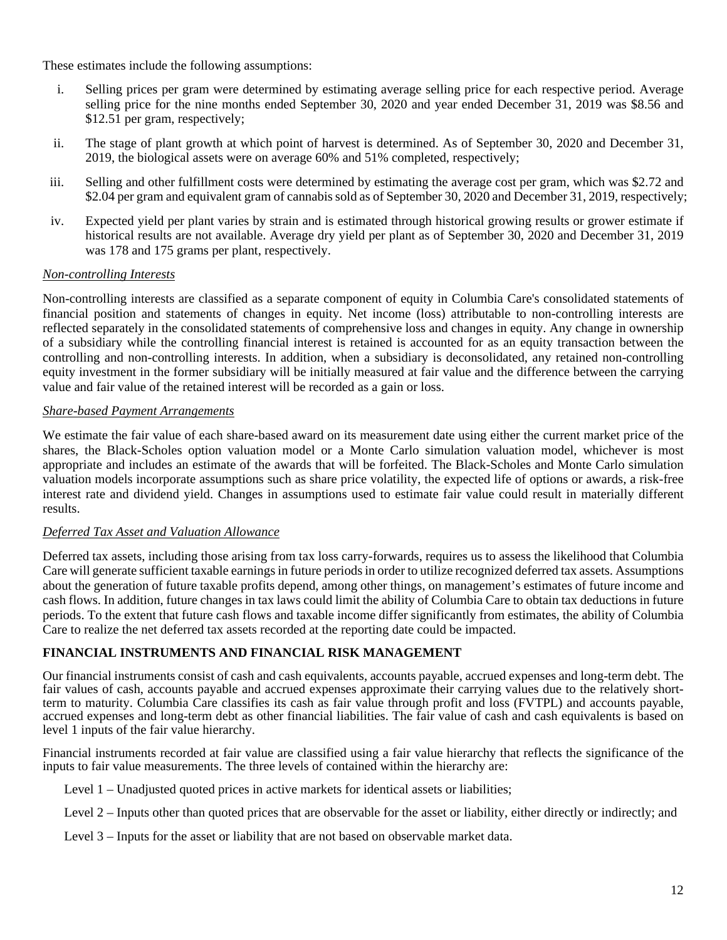These estimates include the following assumptions:

- i. Selling prices per gram were determined by estimating average selling price for each respective period. Average selling price for the nine months ended September 30, 2020 and year ended December 31, 2019 was \$8.56 and \$12.51 per gram, respectively;
- ii. The stage of plant growth at which point of harvest is determined. As of September 30, 2020 and December 31, 2019, the biological assets were on average 60% and 51% completed, respectively;
- iii. Selling and other fulfillment costs were determined by estimating the average cost per gram, which was \$2.72 and \$2.04 per gram and equivalent gram of cannabis sold as of September 30, 2020 and December 31, 2019, respectively;
- iv. Expected yield per plant varies by strain and is estimated through historical growing results or grower estimate if historical results are not available. Average dry yield per plant as of September 30, 2020 and December 31, 2019 was 178 and 175 grams per plant, respectively.

# *Non-controlling Interests*

Non-controlling interests are classified as a separate component of equity in Columbia Care's consolidated statements of financial position and statements of changes in equity. Net income (loss) attributable to non-controlling interests are reflected separately in the consolidated statements of comprehensive loss and changes in equity. Any change in ownership of a subsidiary while the controlling financial interest is retained is accounted for as an equity transaction between the controlling and non-controlling interests. In addition, when a subsidiary is deconsolidated, any retained non-controlling equity investment in the former subsidiary will be initially measured at fair value and the difference between the carrying value and fair value of the retained interest will be recorded as a gain or loss.

# *Share-based Payment Arrangements*

We estimate the fair value of each share-based award on its measurement date using either the current market price of the shares, the Black-Scholes option valuation model or a Monte Carlo simulation valuation model, whichever is most appropriate and includes an estimate of the awards that will be forfeited. The Black-Scholes and Monte Carlo simulation valuation models incorporate assumptions such as share price volatility, the expected life of options or awards, a risk-free interest rate and dividend yield. Changes in assumptions used to estimate fair value could result in materially different results.

# *Deferred Tax Asset and Valuation Allowance*

Deferred tax assets, including those arising from tax loss carry-forwards, requires us to assess the likelihood that Columbia Care will generate sufficient taxable earnings in future periods in order to utilize recognized deferred tax assets. Assumptions about the generation of future taxable profits depend, among other things, on management's estimates of future income and cash flows. In addition, future changes in tax laws could limit the ability of Columbia Care to obtain tax deductions in future periods. To the extent that future cash flows and taxable income differ significantly from estimates, the ability of Columbia Care to realize the net deferred tax assets recorded at the reporting date could be impacted.

# **FINANCIAL INSTRUMENTS AND FINANCIAL RISK MANAGEMENT**

Our financial instruments consist of cash and cash equivalents, accounts payable, accrued expenses and long-term debt. The fair values of cash, accounts payable and accrued expenses approximate their carrying values due to the relatively shortterm to maturity. Columbia Care classifies its cash as fair value through profit and loss (FVTPL) and accounts payable, accrued expenses and long-term debt as other financial liabilities. The fair value of cash and cash equivalents is based on level 1 inputs of the fair value hierarchy.

Financial instruments recorded at fair value are classified using a fair value hierarchy that reflects the significance of the inputs to fair value measurements. The three levels of contained within the hierarchy are:

- Level 1 Unadjusted quoted prices in active markets for identical assets or liabilities;
- Level 2 Inputs other than quoted prices that are observable for the asset or liability, either directly or indirectly; and
- Level 3 Inputs for the asset or liability that are not based on observable market data.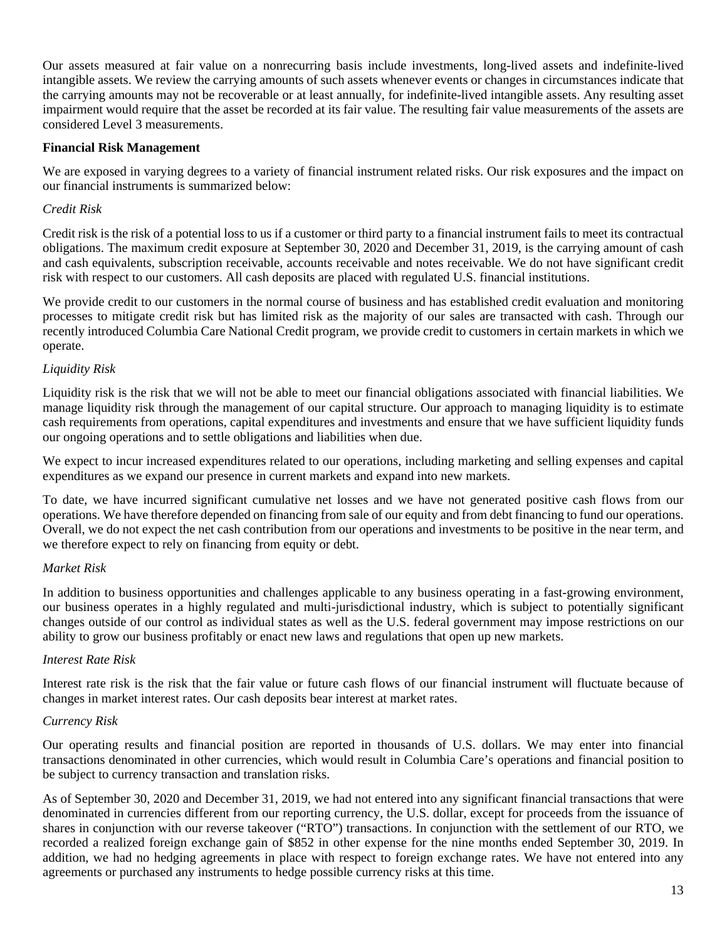Our assets measured at fair value on a nonrecurring basis include investments, long-lived assets and indefinite-lived intangible assets. We review the carrying amounts of such assets whenever events or changes in circumstances indicate that the carrying amounts may not be recoverable or at least annually, for indefinite-lived intangible assets. Any resulting asset impairment would require that the asset be recorded at its fair value. The resulting fair value measurements of the assets are considered Level 3 measurements.

### **Financial Risk Management**

We are exposed in varying degrees to a variety of financial instrument related risks. Our risk exposures and the impact on our financial instruments is summarized below:

### *Credit Risk*

Credit risk is the risk of a potential loss to us if a customer or third party to a financial instrument fails to meet its contractual obligations. The maximum credit exposure at September 30, 2020 and December 31, 2019, is the carrying amount of cash and cash equivalents, subscription receivable, accounts receivable and notes receivable. We do not have significant credit risk with respect to our customers. All cash deposits are placed with regulated U.S. financial institutions.

We provide credit to our customers in the normal course of business and has established credit evaluation and monitoring processes to mitigate credit risk but has limited risk as the majority of our sales are transacted with cash. Through our recently introduced Columbia Care National Credit program, we provide credit to customers in certain markets in which we operate.

# *Liquidity Risk*

Liquidity risk is the risk that we will not be able to meet our financial obligations associated with financial liabilities. We manage liquidity risk through the management of our capital structure. Our approach to managing liquidity is to estimate cash requirements from operations, capital expenditures and investments and ensure that we have sufficient liquidity funds our ongoing operations and to settle obligations and liabilities when due.

We expect to incur increased expenditures related to our operations, including marketing and selling expenses and capital expenditures as we expand our presence in current markets and expand into new markets.

To date, we have incurred significant cumulative net losses and we have not generated positive cash flows from our operations. We have therefore depended on financing from sale of our equity and from debt financing to fund our operations. Overall, we do not expect the net cash contribution from our operations and investments to be positive in the near term, and we therefore expect to rely on financing from equity or debt.

#### *Market Risk*

In addition to business opportunities and challenges applicable to any business operating in a fast-growing environment, our business operates in a highly regulated and multi-jurisdictional industry, which is subject to potentially significant changes outside of our control as individual states as well as the U.S. federal government may impose restrictions on our ability to grow our business profitably or enact new laws and regulations that open up new markets.

#### *Interest Rate Risk*

Interest rate risk is the risk that the fair value or future cash flows of our financial instrument will fluctuate because of changes in market interest rates. Our cash deposits bear interest at market rates.

#### *Currency Risk*

Our operating results and financial position are reported in thousands of U.S. dollars. We may enter into financial transactions denominated in other currencies, which would result in Columbia Care's operations and financial position to be subject to currency transaction and translation risks.

As of September 30, 2020 and December 31, 2019, we had not entered into any significant financial transactions that were denominated in currencies different from our reporting currency, the U.S. dollar, except for proceeds from the issuance of shares in conjunction with our reverse takeover ("RTO") transactions. In conjunction with the settlement of our RTO, we recorded a realized foreign exchange gain of \$852 in other expense for the nine months ended September 30, 2019. In addition, we had no hedging agreements in place with respect to foreign exchange rates. We have not entered into any agreements or purchased any instruments to hedge possible currency risks at this time.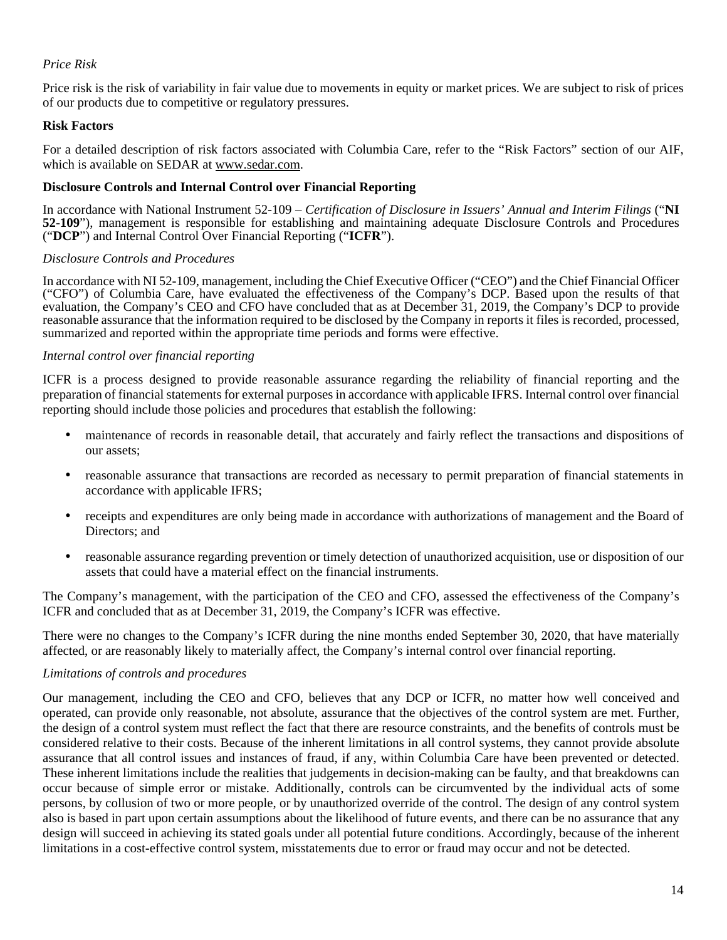### *Price Risk*

Price risk is the risk of variability in fair value due to movements in equity or market prices. We are subject to risk of prices of our products due to competitive or regulatory pressures.

### **Risk Factors**

For a detailed description of risk factors associated with Columbia Care, refer to the "Risk Factors" section of our AIF, which is available on SEDAR at www.sedar.com.

#### **Disclosure Controls and Internal Control over Financial Reporting**

In accordance with National Instrument 52-109 – *Certification of Disclosure in Issuers' Annual and Interim Filings* ("**NI 52-109**"), management is responsible for establishing and maintaining adequate Disclosure Controls and Procedures ("**DCP**") and Internal Control Over Financial Reporting ("**ICFR**").

#### *Disclosure Controls and Procedures*

In accordance with NI 52-109, management, including the Chief Executive Officer ("CEO") and the Chief Financial Officer ("CFO") of Columbia Care, have evaluated the effectiveness of the Company's DCP. Based upon the results of that evaluation, the Company's CEO and CFO have concluded that as at December 31, 2019, the Company's DCP to provide reasonable assurance that the information required to be disclosed by the Company in reports it files is recorded, processed, summarized and reported within the appropriate time periods and forms were effective.

#### *Internal control over financial reporting*

ICFR is a process designed to provide reasonable assurance regarding the reliability of financial reporting and the preparation of financial statements for external purposes in accordance with applicable IFRS. Internal control over financial reporting should include those policies and procedures that establish the following:

- maintenance of records in reasonable detail, that accurately and fairly reflect the transactions and dispositions of our assets;
- reasonable assurance that transactions are recorded as necessary to permit preparation of financial statements in accordance with applicable IFRS;
- receipts and expenditures are only being made in accordance with authorizations of management and the Board of Directors; and
- reasonable assurance regarding prevention or timely detection of unauthorized acquisition, use or disposition of our assets that could have a material effect on the financial instruments.

The Company's management, with the participation of the CEO and CFO, assessed the effectiveness of the Company's ICFR and concluded that as at December 31, 2019, the Company's ICFR was effective.

There were no changes to the Company's ICFR during the nine months ended September 30, 2020, that have materially affected, or are reasonably likely to materially affect, the Company's internal control over financial reporting.

#### *Limitations of controls and procedures*

Our management, including the CEO and CFO, believes that any DCP or ICFR, no matter how well conceived and operated, can provide only reasonable, not absolute, assurance that the objectives of the control system are met. Further, the design of a control system must reflect the fact that there are resource constraints, and the benefits of controls must be considered relative to their costs. Because of the inherent limitations in all control systems, they cannot provide absolute assurance that all control issues and instances of fraud, if any, within Columbia Care have been prevented or detected. These inherent limitations include the realities that judgements in decision-making can be faulty, and that breakdowns can occur because of simple error or mistake. Additionally, controls can be circumvented by the individual acts of some persons, by collusion of two or more people, or by unauthorized override of the control. The design of any control system also is based in part upon certain assumptions about the likelihood of future events, and there can be no assurance that any design will succeed in achieving its stated goals under all potential future conditions. Accordingly, because of the inherent limitations in a cost-effective control system, misstatements due to error or fraud may occur and not be detected.